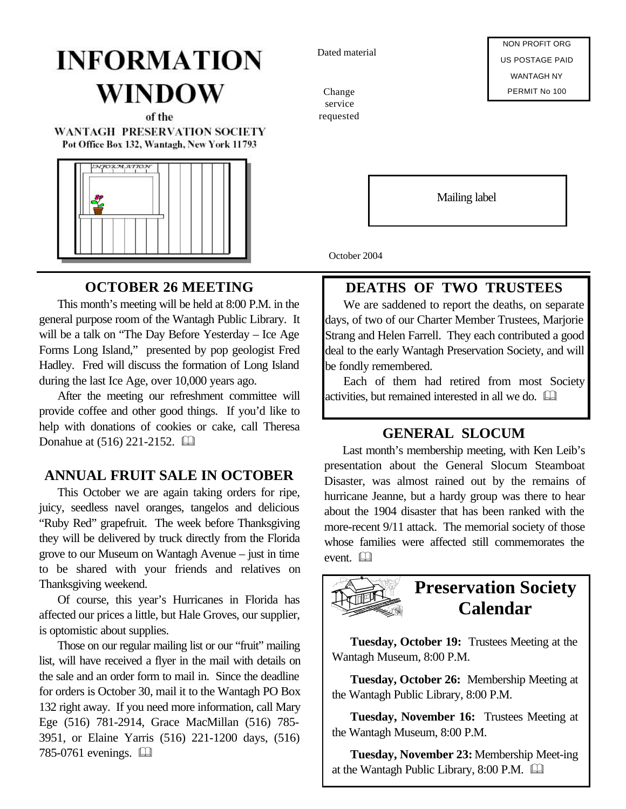# **INFORMATION** WINDOW

of the **WANTAGH PRESERVATION SOCIETY** Pot Office Box 132, Wantagh, New York 11793



**OCTOBER 26 MEETING**

This month's meeting will be held at 8:00 P.M. in the general purpose room of the Wantagh Public Library. It will be a talk on "The Day Before Yesterday – Ice Age Forms Long Island," presented by pop geologist Fred Hadley. Fred will discuss the formation of Long Island during the last Ice Age, over 10,000 years ago.

After the meeting our refreshment committee will provide coffee and other good things. If you'd like to help with donations of cookies or cake, call Theresa Donahue at (516) 221-2152. **and** 

#### **ANNUAL FRUIT SALE IN OCTOBER**

This October we are again taking orders for ripe, juicy, seedless navel oranges, tangelos and delicious "Ruby Red" grapefruit. The week before Thanksgiving they will be delivered by truck directly from the Florida grove to our Museum on Wantagh Avenue – just in time to be shared with your friends and relatives on Thanksgiving weekend.

Of course, this year's Hurricanes in Florida has affected our prices a little, but Hale Groves, our supplier, is optomistic about supplies.

Those on our regular mailing list or our "fruit" mailing list, will have received a flyer in the mail with details on the sale and an order form to mail in. Since the deadline for orders is October 30, mail it to the Wantagh PO Box 132 right away. If you need more information, call Mary Ege (516) 781-2914, Grace MacMillan (516) 785- 3951, or Elaine Yarris (516) 221-1200 days, (516) 785-0761 evenings.  $\Box$ 

Dated material

Change service requested

NON PROFIT ORG US POSTAGE PAID WANTAGH NY PERMIT No 100

Mailing label

October 2004

### **DEATHS OF TWO TRUSTEES**

We are saddened to report the deaths, on separate days, of two of our Charter Member Trustees, Marjorie Strang and Helen Farrell. They each contributed a good deal to the early Wantagh Preservation Society, and will be fondly remembered.

Each of them had retired from most Society activities, but remained interested in all we do.  $\Box$ 

#### **GENERAL SLOCUM**

Last month's membership meeting, with Ken Leib's presentation about the General Slocum Steamboat Disaster, was almost rained out by the remains of hurricane Jeanne, but a hardy group was there to hear about the 1904 disaster that has been ranked with the more-recent 9/11 attack. The memorial society of those whose families were affected still commemorates the event.  $\Box$ 



**Tuesday, October 19:** Trustees Meeting at the Wantagh Museum, 8:00 P.M.

**Tuesday, October 26:** Membership Meeting at the Wantagh Public Library, 8:00 P.M.

**Tuesday, November 16:** Trustees Meeting at the Wantagh Museum, 8:00 P.M.

**Tuesday, November 23:** Membership Meet-ing at the Wantagh Public Library,  $8:00$  P.M.  $\Box$